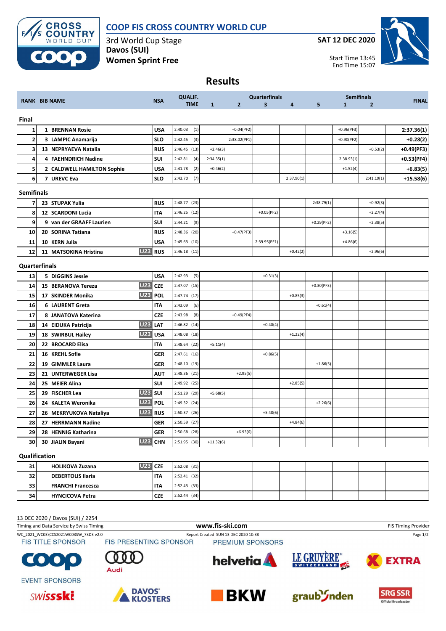

## **COOP FIS CROSS COUNTRY WORLD CUP**

3rd World Cup Stage **Davos (SUI) Women Sprint Free**

**SAT 12 DEC 2020**



**Results**

|                         |                 | <b>RANK BIB NAME</b>                 |            | <b>QUALIF.</b>            |              | <b>Quarterfinals</b> |                         | <b>Semifinals</b> |              |              |                |              |
|-------------------------|-----------------|--------------------------------------|------------|---------------------------|--------------|----------------------|-------------------------|-------------------|--------------|--------------|----------------|--------------|
|                         |                 |                                      | <b>NSA</b> | <b>TIME</b>               | $\mathbf{1}$ | $\overline{2}$       | $\overline{\mathbf{3}}$ | 4                 | 5            | $\mathbf{1}$ | $\overline{2}$ | <b>FINAL</b> |
| Final                   |                 |                                      |            |                           |              |                      |                         |                   |              |              |                |              |
| 1                       | 1               | <b>BRENNAN Rosie</b>                 | <b>USA</b> | 2:40.03<br>(1)            |              | $+0.04(PF2)$         |                         |                   |              | $+0.96(PF3)$ |                | 2:37.36(1)   |
| $\overline{\mathbf{2}}$ | 3               | <b>LAMPIC Anamarija</b>              | <b>SLO</b> | 2:42.45<br>(3)            |              | 2:38.02(PF1)         |                         |                   |              | $+0.90(PF2)$ |                | $+0.28(2)$   |
| 3                       |                 | 13 NEPRYAEVA Natalia                 | <b>RUS</b> | 2:46.45 (13)              | $+2.46(3)$   |                      |                         |                   |              |              | $+0.53(2)$     | $+0.49(PF3)$ |
| 4                       | 4               | <b>FAEHNDRICH Nadine</b>             | SUI        | (4)<br>2:42.81            | 2:34.35(1)   |                      |                         |                   |              | 2:38.93(1)   |                | $+0.53(PF4)$ |
| 5                       | 2               | <b>CALDWELL HAMILTON Sophie</b>      | <b>USA</b> | 2:41.78<br>(2)            | $+0.46(2)$   |                      |                         |                   |              | $+1.52(4)$   |                | $+6.83(5)$   |
| 6                       | 7               | <b>UREVC Eva</b>                     | <b>SLO</b> | (7)<br>2:43.70            |              |                      |                         | 2:37.90(1)        |              |              | 2:41.19(1)     | $+15.58(6)$  |
| <b>Semifinals</b>       |                 |                                      |            |                           |              |                      |                         |                   |              |              |                |              |
| $\overline{7}$          |                 | 23 STUPAK Yulia                      | <b>RUS</b> | 2:48.77 (23)              |              |                      |                         |                   | 2:38.79(1)   |              | +0.92(3)       |              |
| 8                       |                 | 12 SCARDONI Lucia                    | <b>ITA</b> | 2:46.25 (12)              |              |                      | $+0.05(PF2)$            |                   |              |              | $+2.27(4)$     |              |
| 9                       | 9               | van der GRAAFF Laurien               | SUI        | (9)<br>2:44.21            |              |                      |                         |                   | $+0.29(PF2)$ |              | $+2.38(5)$     |              |
| 10                      |                 | 20 SORINA Tatiana                    | <b>RUS</b> | 2:48.36 (20)              |              | $+0.47(PF3)$         |                         |                   |              | $+3.16(5)$   |                |              |
| 11                      |                 | 10 KERN Julia                        | <b>USA</b> | 2:45.63 (10)              |              |                      | 2:39.95(PF1)            |                   |              | $+4.86(6)$   |                |              |
| 12                      |                 | <b>U23</b><br>11 MATSOKINA Hristina  | <b>RUS</b> | 2:46.18(11)               |              |                      |                         | $+0.42(2)$        |              |              | $+2.96(6)$     |              |
| <b>Quarterfinals</b>    |                 |                                      |            |                           |              |                      |                         |                   |              |              |                |              |
| 13                      | 5               | <b>DIGGINS Jessie</b>                | <b>USA</b> | 2:42.93<br>(5)            |              |                      | $+0.31(3)$              |                   |              |              |                |              |
| 14                      | 15 <sub>l</sub> | <b>U23</b><br><b>BERANOVA Tereza</b> | <b>CZE</b> | 2:47.07 (15)              |              |                      |                         |                   | $+0.30(PF3)$ |              |                |              |
| 15                      |                 | <b>U23</b><br>17 SKINDER Monika      | <b>POL</b> | 2:47.74 (17)              |              |                      |                         | $+0.85(3)$        |              |              |                |              |
| 16                      | 61              | <b>LAURENT Greta</b>                 | IΤΑ        | 2:43.09<br>(6)            |              |                      |                         |                   | $+0.61(4)$   |              |                |              |
| 17                      | 8               | <b>JANATOVA Katerina</b>             | <b>CZE</b> | 2:43.98<br>(8)            |              | $+0.49(PF4)$         |                         |                   |              |              |                |              |
| 18                      |                 | <b>U23</b><br>14 EIDUKA Patricija    | LAT        | 2:46.82 (14)              |              |                      | $+0.40(4)$              |                   |              |              |                |              |
| 19                      |                 | <b>U23</b><br>18 SWIRBUL Hailey      | <b>USA</b> | 2:48.08 (18)              |              |                      |                         | $+1.22(4)$        |              |              |                |              |
| 20                      | 22              | <b>BROCARD Elisa</b>                 | <b>ITA</b> | 2:48.64 (22)              | $+5.11(4)$   |                      |                         |                   |              |              |                |              |
| 21                      | 16              | <b>KREHL Sofie</b>                   | <b>GER</b> | $2:47.61$ (16)            |              |                      | $+0.86(5)$              |                   |              |              |                |              |
| 22                      | 19              | <b>GIMMLER Laura</b>                 | <b>GER</b> | 2:48.10 (19)              |              |                      |                         |                   | $+1.86(5)$   |              |                |              |
| 23                      | 21              | <b>UNTERWEGER Lisa</b>               | AUT        | 2:48.36 (21)              |              | $+2.95(5)$           |                         |                   |              |              |                |              |
| 24                      | 25              | <b>MEIER Alina</b>                   | <b>SUI</b> | 2:49.92 (25)              |              |                      |                         | $+2.85(5)$        |              |              |                |              |
| 25                      | 29              | <b>U23</b><br><b>FISCHER Lea</b>     | <b>SUI</b> | 2:51.29 (29)              | $+5.68(5)$   |                      |                         |                   |              |              |                |              |
| 26                      |                 | <b>U23</b><br>24 KALETA Weronika     | <b>POL</b> | 2:49.32 (24)              |              |                      |                         |                   | $+2.26(6)$   |              |                |              |
| 27                      |                 | <b>U23</b><br>26 MEKRYUKOVA Nataliya | <b>RUS</b> | 2:50.37 (26)              |              |                      | $+5.48(6)$              |                   |              |              |                |              |
| 28                      | 27 <sub>l</sub> | <b>HERRMANN Nadine</b>               | <b>GER</b> | 2:50.59 (27)              |              |                      |                         | $+4.84(6)$        |              |              |                |              |
| 29                      |                 | 28 HENNIG Katharina                  | <b>GER</b> | 2:50.68 (28)              |              | $+6.93(6)$           |                         |                   |              |              |                |              |
| 30                      |                 | 30 JIALIN Bayani                     | U23 CHN    | 2:51.95 (30)              | $+11.32(6)$  |                      |                         |                   |              |              |                |              |
|                         |                 |                                      |            |                           |              |                      |                         |                   |              |              |                |              |
| Qualification           |                 |                                      |            | $123$ $C2F$ $2.5208$ (31) |              |                      |                         |                   |              |              |                |              |
| 21 <sup>1</sup>         |                 | HOLIKOVA Zuzana                      |            |                           |              |                      |                         |                   |              |              |                |              |

### **31 HOLIKOVA Zuzana U23 CZE** 2:52.08 (31) **32 DEBERTOLIS Ilaria ITA 12:52.41 (32) 33 FRANCHI Francesca ITA** 2:52.43 (33) **34 HYNCICOVA Petra CZE** 2:52.44 (34)

#### 13 DEC 2020 / Davos (SUI) / 2254

Timing and Data Service by Swiss Timing **WWW.fis-Ski.com www.fis-ski.com FIS Timing Provider** FIS Timing Provider WC\_2021\_WC03\CCS2021WC03SW\_73D3 v2.0 Report Created SUN 13 DEC 2020 10:38 Page 1/2<br>FIS TITLE SPONSOR FIS PRESENTING SPONSOR PREMIUM SPONSORS **FIS TITLE SPONSOR** LE GRUYÈRE® **helvetia COTO EXTRA** SWITZERLAND 40 Audi **EVENT SPONSORS**